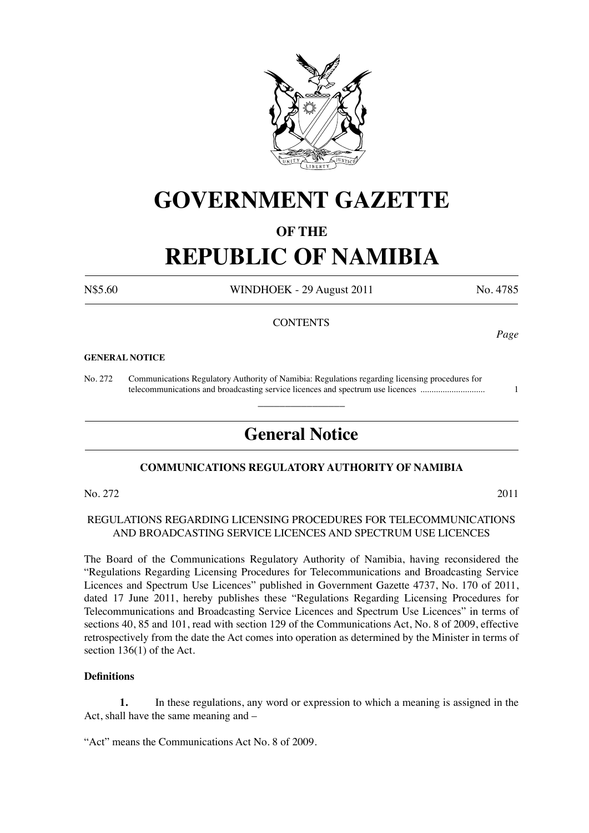

# **GOVERNMENT GAZETTE**

### **OF THE**

# **REPUBLIC OF NAMIBIA**

N\$5.60 WINDHOEK - 29 August 2011 No. 4785

#### **CONTENTS**

#### **GENERAL NOTICE**

No. 272 Communications Regulatory Authority of Namibia: Regulations regarding licensing procedures for telecommunications and broadcasting service licences and spectrum use licences ............................. 1

## **General Notice**

 $\overline{\phantom{a}}$  , where  $\overline{\phantom{a}}$ 

#### **COMMUNICATIONS REGULATORY AUTHORITY OF NAMIBIA**

No. 272 2011

#### REGULATIONS REGARDING LICENSING PROCEDURES FOR TELECOMMUNICATIONS AND BROADCASTING SERVICE LICENCES AND SPECTRUM USE LICENCES

The Board of the Communications Regulatory Authority of Namibia, having reconsidered the "Regulations Regarding Licensing Procedures for Telecommunications and Broadcasting Service Licences and Spectrum Use Licences" published in Government Gazette 4737, No. 170 of 2011, dated 17 June 2011, hereby publishes these "Regulations Regarding Licensing Procedures for Telecommunications and Broadcasting Service Licences and Spectrum Use Licences" in terms of sections 40, 85 and 101, read with section 129 of the Communications Act, No. 8 of 2009, effective retrospectively from the date the Act comes into operation as determined by the Minister in terms of section 136(1) of the Act.

#### **Definitions**

**1.** In these regulations, any word or expression to which a meaning is assigned in the Act, shall have the same meaning and –

"Act" means the Communications Act No. 8 of 2009.

*Page*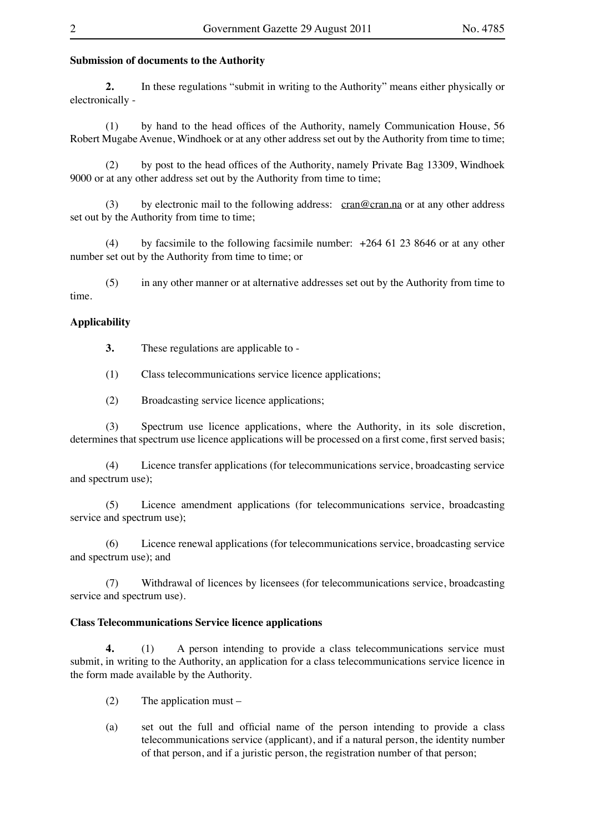#### **Submission of documents to the Authority**

**2.** In these regulations "submit in writing to the Authority" means either physically or electronically -

(1) by hand to the head offices of the Authority, namely Communication House, 56 Robert Mugabe Avenue, Windhoek or at any other address set out by the Authority from time to time;

(2) by post to the head offices of the Authority, namely Private Bag 13309, Windhoek 9000 or at any other address set out by the Authority from time to time;

(3) by electronic mail to the following address: cran@cran.na or at any other address set out by the Authority from time to time;

(4) by facsimile to the following facsimile number: +264 61 23 8646 or at any other number set out by the Authority from time to time; or

(5) in any other manner or at alternative addresses set out by the Authority from time to time.

#### **Applicability**

**3.** These regulations are applicable to -

(1) Class telecommunications service licence applications;

(2) Broadcasting service licence applications;

(3) Spectrum use licence applications, where the Authority, in its sole discretion, determines that spectrum use licence applications will be processed on a first come, first served basis;

(4) Licence transfer applications (for telecommunications service, broadcasting service and spectrum use);

(5) Licence amendment applications (for telecommunications service, broadcasting service and spectrum use);

(6) Licence renewal applications (for telecommunications service, broadcasting service and spectrum use); and

(7) Withdrawal of licences by licensees (for telecommunications service, broadcasting service and spectrum use).

#### **Class Telecommunications Service licence applications**

**4.** (1) A person intending to provide a class telecommunications service must submit, in writing to the Authority, an application for a class telecommunications service licence in the form made available by the Authority.

(2) The application must –

(a) set out the full and official name of the person intending to provide a class telecommunications service (applicant), and if a natural person, the identity number of that person, and if a juristic person, the registration number of that person;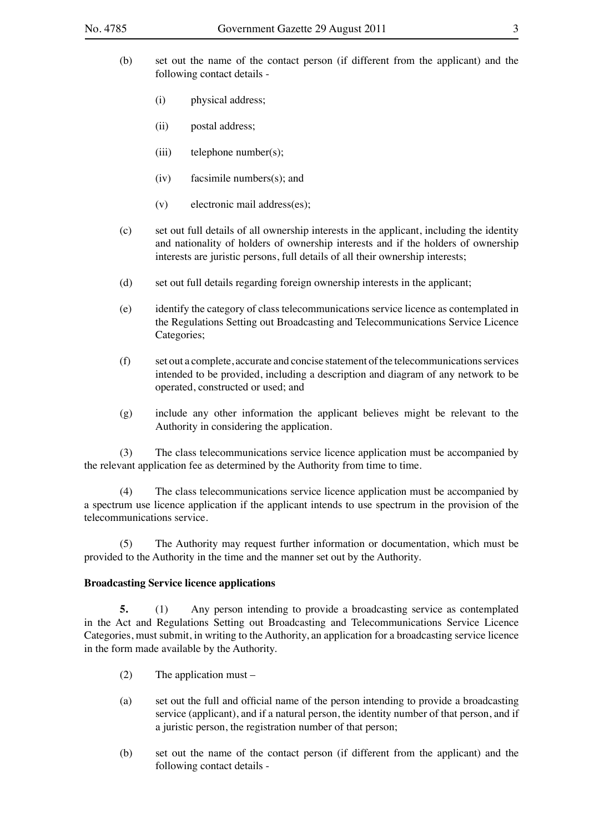- (b) set out the name of the contact person (if different from the applicant) and the following contact details -
	- (i) physical address;
	- (ii) postal address;
	- (iii) telephone number(s);
	- (iv) facsimile numbers(s); and
	- (v) electronic mail address(es);
- (c) set out full details of all ownership interests in the applicant, including the identity and nationality of holders of ownership interests and if the holders of ownership interests are juristic persons, full details of all their ownership interests;
- (d) set out full details regarding foreign ownership interests in the applicant;
- (e) identify the category of class telecommunications service licence as contemplated in the Regulations Setting out Broadcasting and Telecommunications Service Licence Categories;
- (f) set out a complete, accurate and concise statement of the telecommunications services intended to be provided, including a description and diagram of any network to be operated, constructed or used; and
- (g) include any other information the applicant believes might be relevant to the Authority in considering the application.

(3) The class telecommunications service licence application must be accompanied by the relevant application fee as determined by the Authority from time to time.

(4) The class telecommunications service licence application must be accompanied by a spectrum use licence application if the applicant intends to use spectrum in the provision of the telecommunications service.

(5) The Authority may request further information or documentation, which must be provided to the Authority in the time and the manner set out by the Authority.

#### **Broadcasting Service licence applications**

**5.** (1) Any person intending to provide a broadcasting service as contemplated in the Act and Regulations Setting out Broadcasting and Telecommunications Service Licence Categories, must submit, in writing to the Authority, an application for a broadcasting service licence in the form made available by the Authority.

- (2) The application must –
- (a) set out the full and official name of the person intending to provide a broadcasting service (applicant), and if a natural person, the identity number of that person, and if a juristic person, the registration number of that person;
- (b) set out the name of the contact person (if different from the applicant) and the following contact details -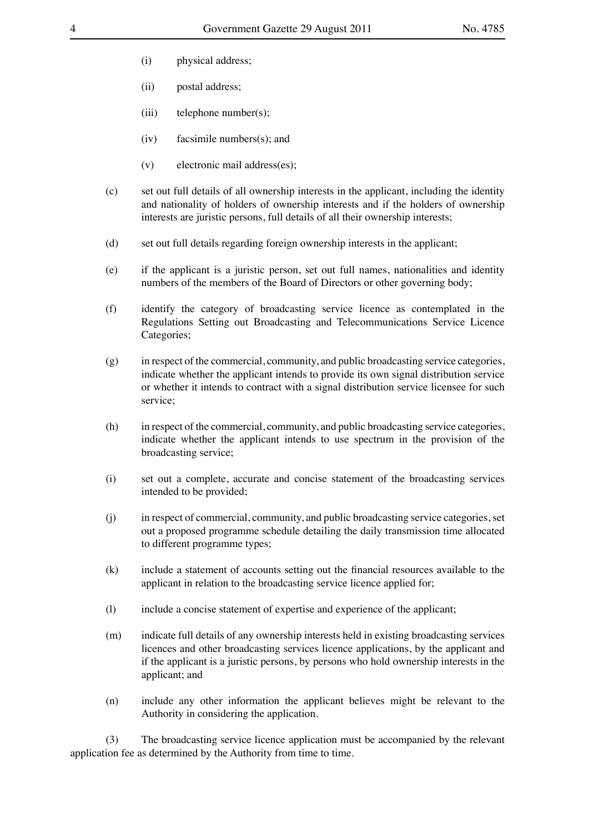- (i) physical address;
- (ii) postal address;
- (iii) telephone number(s);
- (iv) facsimile numbers(s); and
- (v) electronic mail address(es);
- (c) set out full details of all ownership interests in the applicant, including the identity and nationality of holders of ownership interests and if the holders of ownership interests are juristic persons, full details of all their ownership interests;
- (d) set out full details regarding foreign ownership interests in the applicant;
- (e) if the applicant is a juristic person, set out full names, nationalities and identity numbers of the members of the Board of Directors or other governing body;
- (f) identify the category of broadcasting service licence as contemplated in the Regulations Setting out Broadcasting and Telecommunications Service Licence Categories;
- (g) in respect of the commercial, community, and public broadcasting service categories, indicate whether the applicant intends to provide its own signal distribution service or whether it intends to contract with a signal distribution service licensee for such service;
- (h) in respect of the commercial, community, and public broadcasting service categories, indicate whether the applicant intends to use spectrum in the provision of the broadcasting service;
- (i) set out a complete, accurate and concise statement of the broadcasting services intended to be provided;
- (j) in respect of commercial, community, and public broadcasting service categories, set out a proposed programme schedule detailing the daily transmission time allocated to different programme types;
- (k) include a statement of accounts setting out the financial resources available to the applicant in relation to the broadcasting service licence applied for;
- (l) include a concise statement of expertise and experience of the applicant;
- (m) indicate full details of any ownership interests held in existing broadcasting services licences and other broadcasting services licence applications, by the applicant and if the applicant is a juristic persons, by persons who hold ownership interests in the applicant; and
- (n) include any other information the applicant believes might be relevant to the Authority in considering the application.

(3) The broadcasting service licence application must be accompanied by the relevant application fee as determined by the Authority from time to time.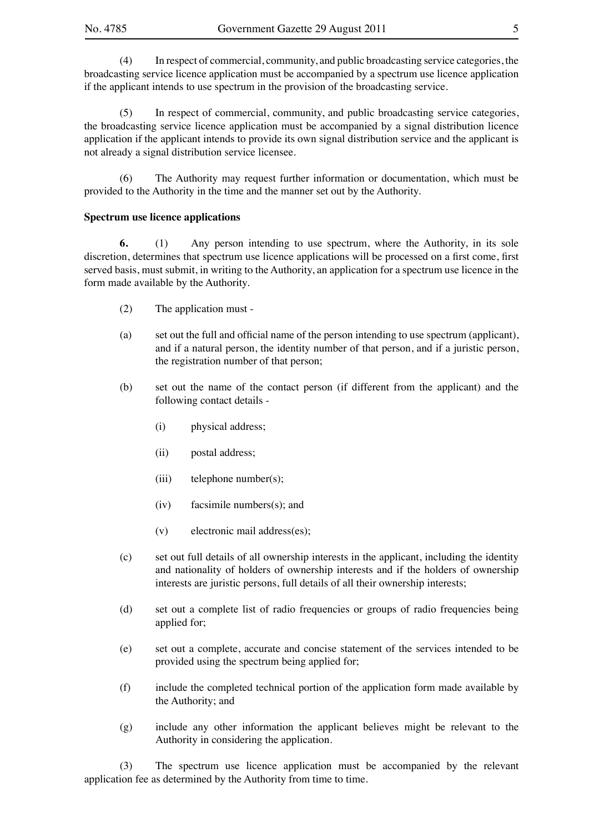(4) In respect of commercial, community, and public broadcasting service categories, the broadcasting service licence application must be accompanied by a spectrum use licence application if the applicant intends to use spectrum in the provision of the broadcasting service.

(5) In respect of commercial, community, and public broadcasting service categories, the broadcasting service licence application must be accompanied by a signal distribution licence application if the applicant intends to provide its own signal distribution service and the applicant is not already a signal distribution service licensee.

(6) The Authority may request further information or documentation, which must be provided to the Authority in the time and the manner set out by the Authority.

#### **Spectrum use licence applications**

**6.** (1) Any person intending to use spectrum, where the Authority, in its sole discretion, determines that spectrum use licence applications will be processed on a first come, first served basis, must submit, in writing to the Authority, an application for a spectrum use licence in the form made available by the Authority.

- (2) The application must -
- (a) set out the full and official name of the person intending to use spectrum (applicant), and if a natural person, the identity number of that person, and if a juristic person, the registration number of that person;
- (b) set out the name of the contact person (if different from the applicant) and the following contact details -
	- (i) physical address;
	- (ii) postal address;
	- (iii) telephone number(s);
	- (iv) facsimile numbers(s); and
	- (v) electronic mail address(es);
- (c) set out full details of all ownership interests in the applicant, including the identity and nationality of holders of ownership interests and if the holders of ownership interests are juristic persons, full details of all their ownership interests;
- (d) set out a complete list of radio frequencies or groups of radio frequencies being applied for;
- (e) set out a complete, accurate and concise statement of the services intended to be provided using the spectrum being applied for;
- (f) include the completed technical portion of the application form made available by the Authority; and
- (g) include any other information the applicant believes might be relevant to the Authority in considering the application.

(3) The spectrum use licence application must be accompanied by the relevant application fee as determined by the Authority from time to time.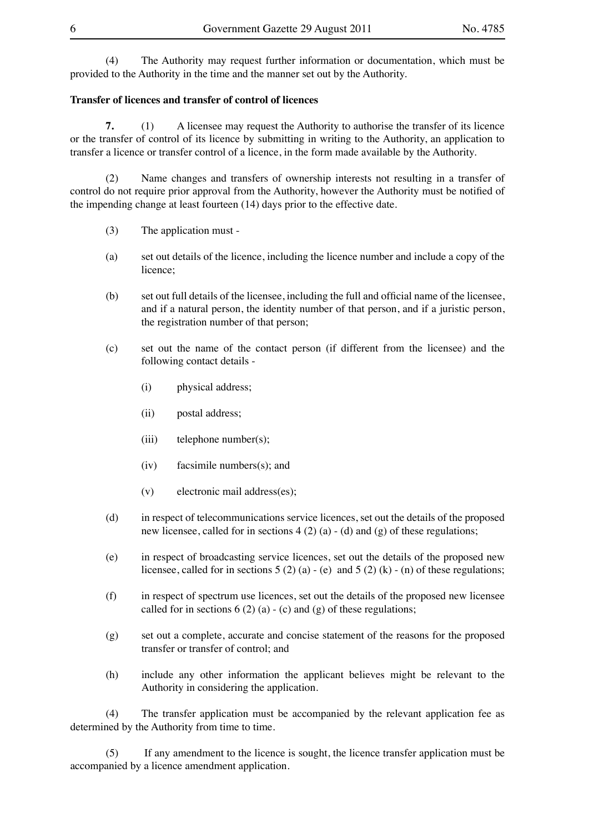(4) The Authority may request further information or documentation, which must be provided to the Authority in the time and the manner set out by the Authority.

#### **Transfer of licences and transfer of control of licences**

**7.** (1) A licensee may request the Authority to authorise the transfer of its licence or the transfer of control of its licence by submitting in writing to the Authority, an application to transfer a licence or transfer control of a licence, in the form made available by the Authority.

(2) Name changes and transfers of ownership interests not resulting in a transfer of control do not require prior approval from the Authority, however the Authority must be notified of the impending change at least fourteen (14) days prior to the effective date.

- (3) The application must -
- (a) set out details of the licence, including the licence number and include a copy of the licence;
- (b) set out full details of the licensee, including the full and official name of the licensee, and if a natural person, the identity number of that person, and if a juristic person, the registration number of that person;
- (c) set out the name of the contact person (if different from the licensee) and the following contact details -
	- (i) physical address;
	- (ii) postal address;
	- (iii) telephone number(s);
	- (iv) facsimile numbers(s); and
	- (v) electronic mail address(es);
- (d) in respect of telecommunications service licences, set out the details of the proposed new licensee, called for in sections  $4(2)(a) - (d)$  and  $(g)$  of these regulations;
- (e) in respect of broadcasting service licences, set out the details of the proposed new licensee, called for in sections  $5(2)(a) - (e)$  and  $5(2)(k) - (n)$  of these regulations;
- (f) in respect of spectrum use licences, set out the details of the proposed new licensee called for in sections  $6(2)(a) - (c)$  and  $(g)$  of these regulations;
- (g) set out a complete, accurate and concise statement of the reasons for the proposed transfer or transfer of control; and
- (h) include any other information the applicant believes might be relevant to the Authority in considering the application.

(4) The transfer application must be accompanied by the relevant application fee as determined by the Authority from time to time.

(5) If any amendment to the licence is sought, the licence transfer application must be accompanied by a licence amendment application.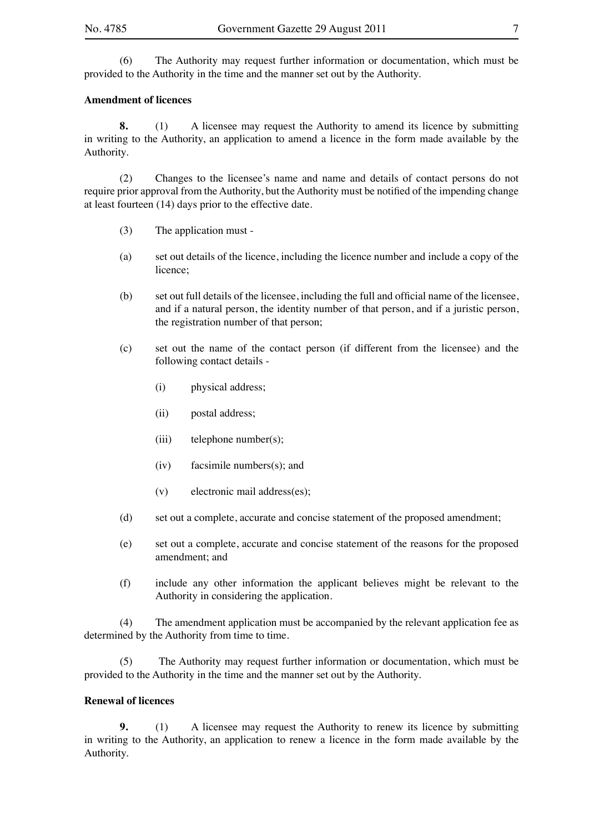(6) The Authority may request further information or documentation, which must be provided to the Authority in the time and the manner set out by the Authority.

#### **Amendment of licences**

**8.** (1) A licensee may request the Authority to amend its licence by submitting in writing to the Authority, an application to amend a licence in the form made available by the Authority.

(2) Changes to the licensee's name and name and details of contact persons do not require prior approval from the Authority, but the Authority must be notified of the impending change at least fourteen (14) days prior to the effective date.

- (3) The application must -
- (a) set out details of the licence, including the licence number and include a copy of the licence;
- (b) set out full details of the licensee, including the full and official name of the licensee, and if a natural person, the identity number of that person, and if a juristic person, the registration number of that person;
- (c) set out the name of the contact person (if different from the licensee) and the following contact details -
	- (i) physical address;
	- (ii) postal address;
	- (iii) telephone number(s);
	- (iv) facsimile numbers(s); and
	- (v) electronic mail address(es);
- (d) set out a complete, accurate and concise statement of the proposed amendment;
- (e) set out a complete, accurate and concise statement of the reasons for the proposed amendment; and
- (f) include any other information the applicant believes might be relevant to the Authority in considering the application.

(4) The amendment application must be accompanied by the relevant application fee as determined by the Authority from time to time.

(5) The Authority may request further information or documentation, which must be provided to the Authority in the time and the manner set out by the Authority.

#### **Renewal of licences**

**9.** (1) A licensee may request the Authority to renew its licence by submitting in writing to the Authority, an application to renew a licence in the form made available by the Authority.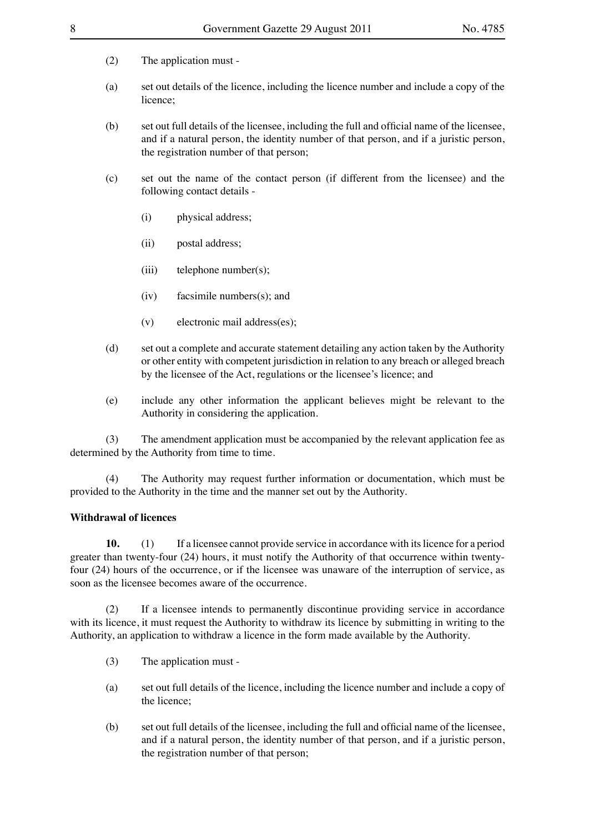- (2) The application must -
- (a) set out details of the licence, including the licence number and include a copy of the licence;
- (b) set out full details of the licensee, including the full and official name of the licensee, and if a natural person, the identity number of that person, and if a juristic person, the registration number of that person;
- (c) set out the name of the contact person (if different from the licensee) and the following contact details -
	- (i) physical address;
	- (ii) postal address;
	- (iii) telephone number(s);
	- (iv) facsimile numbers(s); and
	- (v) electronic mail address(es);
- (d) set out a complete and accurate statement detailing any action taken by the Authority or other entity with competent jurisdiction in relation to any breach or alleged breach by the licensee of the Act, regulations or the licensee's licence; and
- (e) include any other information the applicant believes might be relevant to the Authority in considering the application.

(3) The amendment application must be accompanied by the relevant application fee as determined by the Authority from time to time.

(4) The Authority may request further information or documentation, which must be provided to the Authority in the time and the manner set out by the Authority.

#### **Withdrawal of licences**

**10.** (1) If a licensee cannot provide service in accordance with its licence for a period greater than twenty-four (24) hours, it must notify the Authority of that occurrence within twentyfour (24) hours of the occurrence, or if the licensee was unaware of the interruption of service, as soon as the licensee becomes aware of the occurrence.

(2) If a licensee intends to permanently discontinue providing service in accordance with its licence, it must request the Authority to withdraw its licence by submitting in writing to the Authority, an application to withdraw a licence in the form made available by the Authority.

- (3) The application must -
- (a) set out full details of the licence, including the licence number and include a copy of the licence;
- (b) set out full details of the licensee, including the full and official name of the licensee, and if a natural person, the identity number of that person, and if a juristic person, the registration number of that person;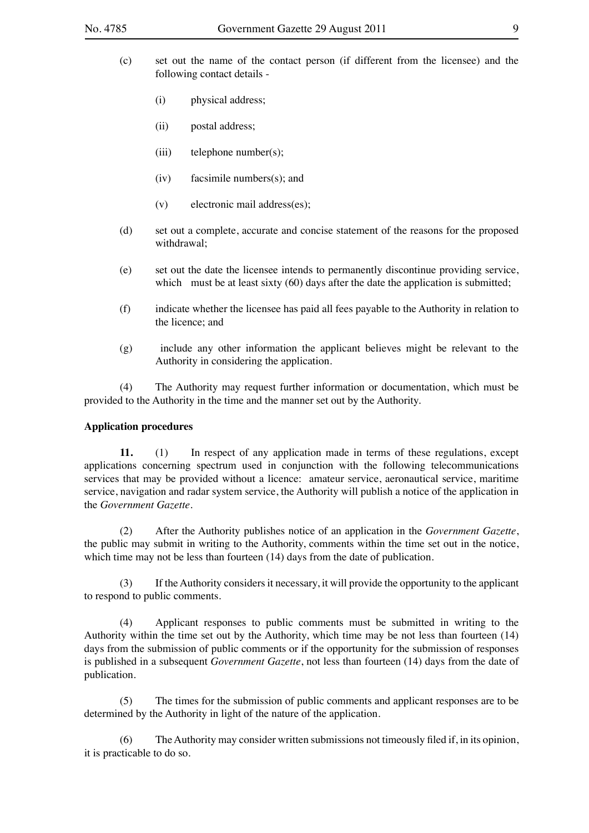- (c) set out the name of the contact person (if different from the licensee) and the following contact details -
	- (i) physical address;
	- (ii) postal address;
	- (iii) telephone number(s);
	- (iv) facsimile numbers(s); and
	- (v) electronic mail address(es);
- (d) set out a complete, accurate and concise statement of the reasons for the proposed withdrawal;
- (e) set out the date the licensee intends to permanently discontinue providing service, which must be at least sixty (60) days after the date the application is submitted;
- (f) indicate whether the licensee has paid all fees payable to the Authority in relation to the licence; and
- (g) include any other information the applicant believes might be relevant to the Authority in considering the application.

(4) The Authority may request further information or documentation, which must be provided to the Authority in the time and the manner set out by the Authority.

#### **Application procedures**

**11.** (1) In respect of any application made in terms of these regulations, except applications concerning spectrum used in conjunction with the following telecommunications services that may be provided without a licence: amateur service, aeronautical service, maritime service, navigation and radar system service, the Authority will publish a notice of the application in the *Government Gazette*.

(2) After the Authority publishes notice of an application in the *Government Gazette*, the public may submit in writing to the Authority, comments within the time set out in the notice, which time may not be less than fourteen (14) days from the date of publication.

(3) If the Authority considers it necessary, it will provide the opportunity to the applicant to respond to public comments.

(4) Applicant responses to public comments must be submitted in writing to the Authority within the time set out by the Authority, which time may be not less than fourteen (14) days from the submission of public comments or if the opportunity for the submission of responses is published in a subsequent *Government Gazette*, not less than fourteen (14) days from the date of publication.

(5) The times for the submission of public comments and applicant responses are to be determined by the Authority in light of the nature of the application.

(6) The Authority may consider written submissions not timeously filed if, in its opinion, it is practicable to do so.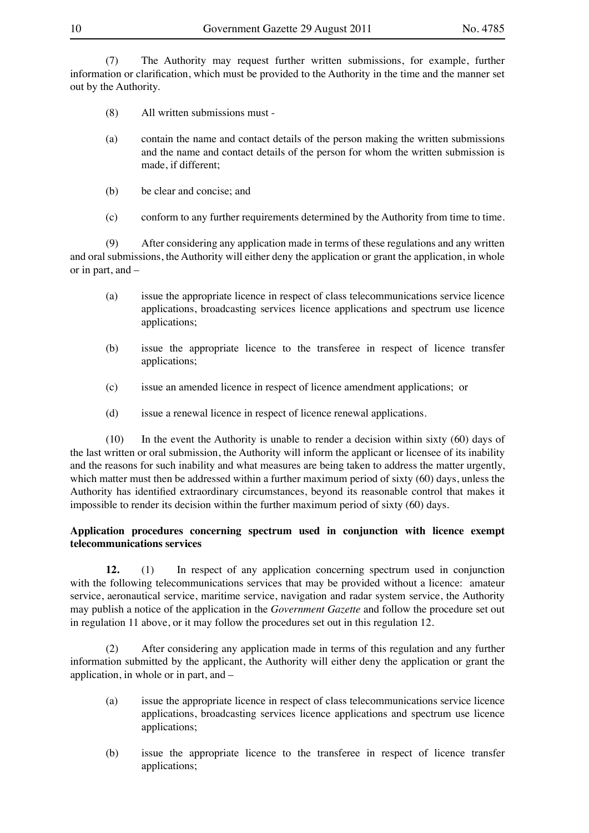(7) The Authority may request further written submissions, for example, further information or clarification, which must be provided to the Authority in the time and the manner set out by the Authority.

- (8) All written submissions must -
- (a) contain the name and contact details of the person making the written submissions and the name and contact details of the person for whom the written submission is made, if different;
- (b) be clear and concise; and
- (c) conform to any further requirements determined by the Authority from time to time.

(9) After considering any application made in terms of these regulations and any written and oral submissions, the Authority will either deny the application or grant the application, in whole or in part, and –

- (a) issue the appropriate licence in respect of class telecommunications service licence applications, broadcasting services licence applications and spectrum use licence applications;
- (b) issue the appropriate licence to the transferee in respect of licence transfer applications;
- (c) issue an amended licence in respect of licence amendment applications; or
- (d) issue a renewal licence in respect of licence renewal applications.

(10) In the event the Authority is unable to render a decision within sixty (60) days of the last written or oral submission, the Authority will inform the applicant or licensee of its inability and the reasons for such inability and what measures are being taken to address the matter urgently, which matter must then be addressed within a further maximum period of sixty (60) days, unless the Authority has identified extraordinary circumstances, beyond its reasonable control that makes it impossible to render its decision within the further maximum period of sixty (60) days.

#### **Application procedures concerning spectrum used in conjunction with licence exempt telecommunications services**

**12.** (1) In respect of any application concerning spectrum used in conjunction with the following telecommunications services that may be provided without a licence: amateur service, aeronautical service, maritime service, navigation and radar system service, the Authority may publish a notice of the application in the *Government Gazette* and follow the procedure set out in regulation 11 above, or it may follow the procedures set out in this regulation 12.

(2) After considering any application made in terms of this regulation and any further information submitted by the applicant, the Authority will either deny the application or grant the application, in whole or in part, and –

- (a) issue the appropriate licence in respect of class telecommunications service licence applications, broadcasting services licence applications and spectrum use licence applications;
- (b) issue the appropriate licence to the transferee in respect of licence transfer applications;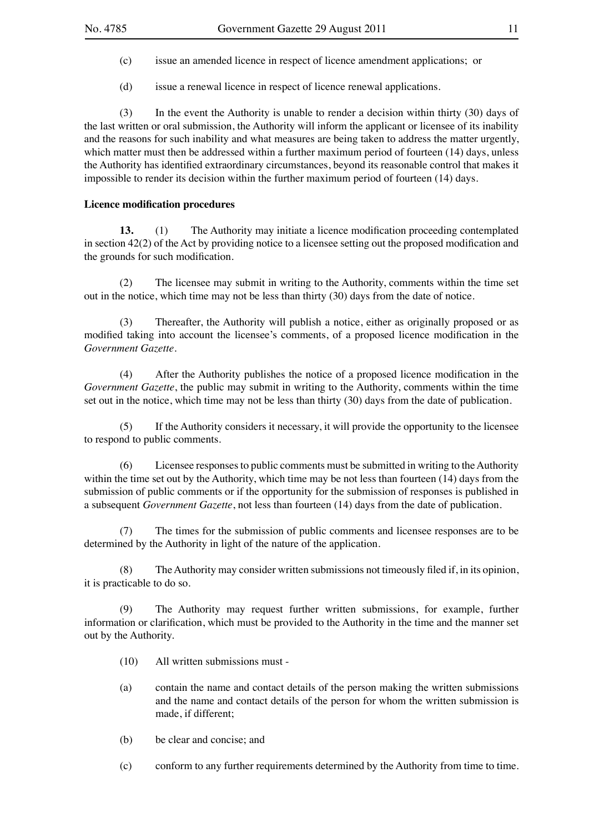- (c) issue an amended licence in respect of licence amendment applications; or
- (d) issue a renewal licence in respect of licence renewal applications.

(3) In the event the Authority is unable to render a decision within thirty (30) days of the last written or oral submission, the Authority will inform the applicant or licensee of its inability and the reasons for such inability and what measures are being taken to address the matter urgently, which matter must then be addressed within a further maximum period of fourteen (14) days, unless the Authority has identified extraordinary circumstances, beyond its reasonable control that makes it impossible to render its decision within the further maximum period of fourteen (14) days.

#### **Licence modification procedures**

**13.** (1) The Authority may initiate a licence modification proceeding contemplated in section 42(2) of the Act by providing notice to a licensee setting out the proposed modification and the grounds for such modification.

(2) The licensee may submit in writing to the Authority, comments within the time set out in the notice, which time may not be less than thirty (30) days from the date of notice.

(3) Thereafter, the Authority will publish a notice, either as originally proposed or as modified taking into account the licensee's comments, of a proposed licence modification in the *Government Gazette*.

(4) After the Authority publishes the notice of a proposed licence modification in the *Government Gazette*, the public may submit in writing to the Authority, comments within the time set out in the notice, which time may not be less than thirty (30) days from the date of publication.

(5) If the Authority considers it necessary, it will provide the opportunity to the licensee to respond to public comments.

(6) Licensee responses to public comments must be submitted in writing to the Authority within the time set out by the Authority, which time may be not less than fourteen (14) days from the submission of public comments or if the opportunity for the submission of responses is published in a subsequent *Government Gazette*, not less than fourteen (14) days from the date of publication.

(7) The times for the submission of public comments and licensee responses are to be determined by the Authority in light of the nature of the application.

(8) The Authority may consider written submissions not timeously filed if, in its opinion, it is practicable to do so.

(9) The Authority may request further written submissions, for example, further information or clarification, which must be provided to the Authority in the time and the manner set out by the Authority.

- (10) All written submissions must -
- (a) contain the name and contact details of the person making the written submissions and the name and contact details of the person for whom the written submission is made, if different;
- (b) be clear and concise; and
- (c) conform to any further requirements determined by the Authority from time to time.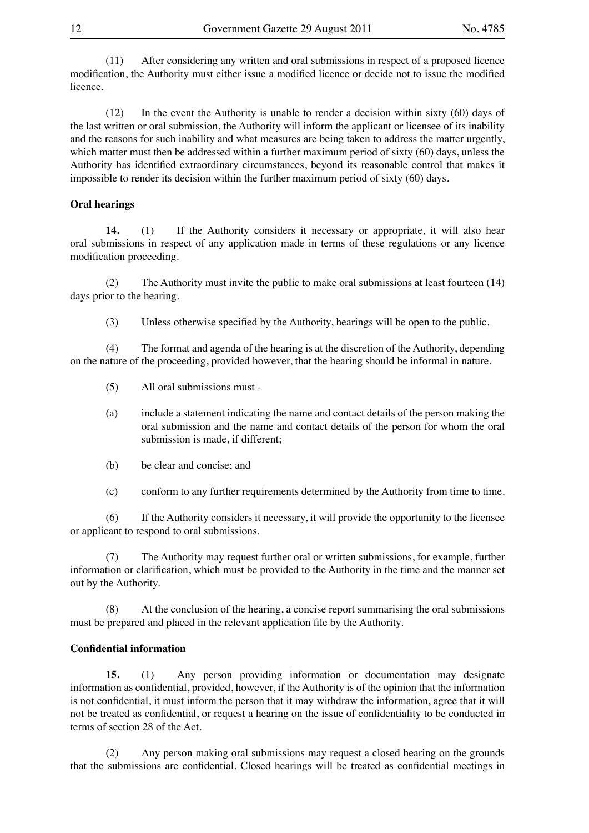(11) After considering any written and oral submissions in respect of a proposed licence modification, the Authority must either issue a modified licence or decide not to issue the modified licence.

(12) In the event the Authority is unable to render a decision within sixty (60) days of the last written or oral submission, the Authority will inform the applicant or licensee of its inability and the reasons for such inability and what measures are being taken to address the matter urgently, which matter must then be addressed within a further maximum period of sixty (60) days, unless the Authority has identified extraordinary circumstances, beyond its reasonable control that makes it impossible to render its decision within the further maximum period of sixty (60) days.

#### **Oral hearings**

**14.** (1) If the Authority considers it necessary or appropriate, it will also hear oral submissions in respect of any application made in terms of these regulations or any licence modification proceeding.

(2) The Authority must invite the public to make oral submissions at least fourteen (14) days prior to the hearing.

(3) Unless otherwise specified by the Authority, hearings will be open to the public.

(4) The format and agenda of the hearing is at the discretion of the Authority, depending on the nature of the proceeding, provided however, that the hearing should be informal in nature.

- (5) All oral submissions must -
- (a) include a statement indicating the name and contact details of the person making the oral submission and the name and contact details of the person for whom the oral submission is made, if different;
- (b) be clear and concise; and
- (c) conform to any further requirements determined by the Authority from time to time.

(6) If the Authority considers it necessary, it will provide the opportunity to the licensee or applicant to respond to oral submissions.

(7) The Authority may request further oral or written submissions, for example, further information or clarification, which must be provided to the Authority in the time and the manner set out by the Authority.

(8) At the conclusion of the hearing, a concise report summarising the oral submissions must be prepared and placed in the relevant application file by the Authority.

#### **Confidential information**

**15.** (1) Any person providing information or documentation may designate information as confidential, provided, however, if the Authority is of the opinion that the information is not confidential, it must inform the person that it may withdraw the information, agree that it will not be treated as confidential, or request a hearing on the issue of confidentiality to be conducted in terms of section 28 of the Act.

(2) Any person making oral submissions may request a closed hearing on the grounds that the submissions are confidential. Closed hearings will be treated as confidential meetings in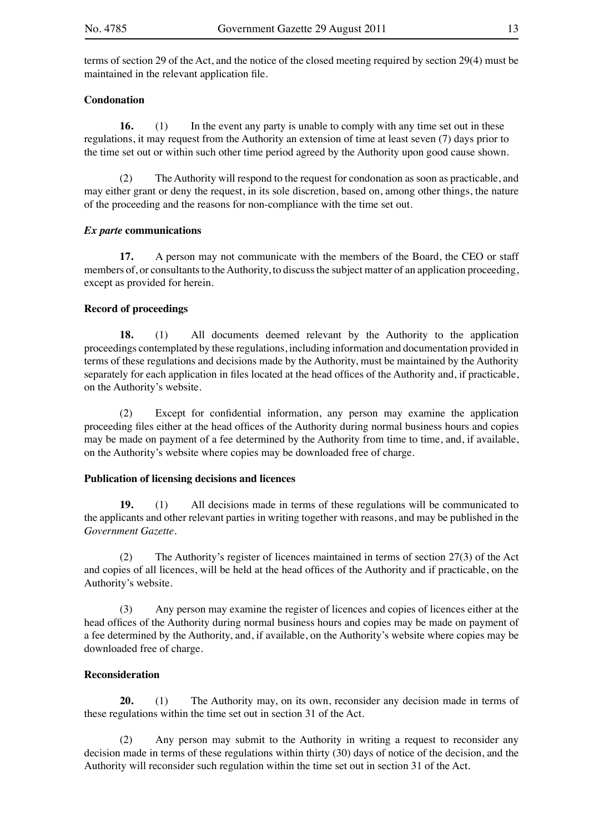terms of section 29 of the Act, and the notice of the closed meeting required by section 29(4) must be maintained in the relevant application file.

#### **Condonation**

**16.** (1) In the event any party is unable to comply with any time set out in these regulations, it may request from the Authority an extension of time at least seven (7) days prior to the time set out or within such other time period agreed by the Authority upon good cause shown.

(2) The Authority will respond to the request for condonation as soon as practicable, and may either grant or deny the request, in its sole discretion, based on, among other things, the nature of the proceeding and the reasons for non-compliance with the time set out.

#### *Ex parte* **communications**

**17.** A person may not communicate with the members of the Board, the CEO or staff members of, or consultants to the Authority, to discuss the subject matter of an application proceeding, except as provided for herein.

#### **Record of proceedings**

**18.** (1) All documents deemed relevant by the Authority to the application proceedings contemplated by these regulations, including information and documentation provided in terms of these regulations and decisions made by the Authority, must be maintained by the Authority separately for each application in files located at the head offices of the Authority and, if practicable, on the Authority's website.

(2) Except for confidential information, any person may examine the application proceeding files either at the head offices of the Authority during normal business hours and copies may be made on payment of a fee determined by the Authority from time to time, and, if available, on the Authority's website where copies may be downloaded free of charge.

### **Publication of licensing decisions and licences**

**19.** (1) All decisions made in terms of these regulations will be communicated to the applicants and other relevant parties in writing together with reasons, and may be published in the *Government Gazette*.

(2) The Authority's register of licences maintained in terms of section 27(3) of the Act and copies of all licences, will be held at the head offices of the Authority and if practicable, on the Authority's website.

(3) Any person may examine the register of licences and copies of licences either at the head offices of the Authority during normal business hours and copies may be made on payment of a fee determined by the Authority, and, if available, on the Authority's website where copies may be downloaded free of charge.

#### **Reconsideration**

**20.** (1) The Authority may, on its own, reconsider any decision made in terms of these regulations within the time set out in section 31 of the Act.

(2) Any person may submit to the Authority in writing a request to reconsider any decision made in terms of these regulations within thirty (30) days of notice of the decision, and the Authority will reconsider such regulation within the time set out in section 31 of the Act.